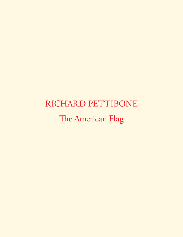# RICHARD PETTIBONE The American Flag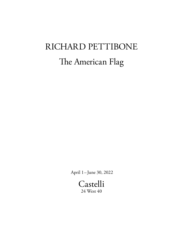## RICHARD PETTIBONE The American Flag

April 1– June 30, 2022

Castelli 24 West 40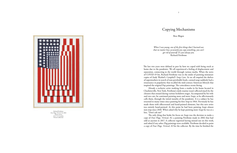The only thing that broke his focus on *Soups* was the decision to make a copy of *Four Flags, Vertical, #2*, a painting Pettibone made in 2002 that had sold at auction in 2017. A collector regretted having missed out on this work, and asked if any other *Flag* paintings were available. Pettibone decided to paint a copy of *Four Flags, Vertical, #2* for the collector. By the time he fnished the



 Already a reclusive artist working from a studio in his home located in Charlotteville, New York, Pettibone's daily routine wasn't a fected much by the closures that ensued during various lockdown stages. Accompanied by his wife and two cats, he continued painting more and more *Soups*, as he a fectionately calls them, through the initial months of the pandemic. It is a subject he has returned to many times since painting his frst *Soup* in 1964. Previously he has made them with silkscreened and hand-painted elements, but this new series was entirely hand-painted. At this point he had been painting *Soups* almost non-stop since 2018. When asked why he kept painting more *Soups* he was at a loss, "Don't ask me!"

### Copying Mechanisms

Broc Blegen

Richard Pettibone *Four Flags, Vertical, #2*, 2002 Oil on canvas 16 ½ x 11 ½ inches Private Collection

*When I was young, one of the frst things that I learned was that no matter how accurately you copy something, you can't get rid of yourself. It's just always you.*  Richard Pettibone

The last two years were defined in part by how we coped with being stuck at home due to the pandemic. We all experienced a feeling of displacement and separation, connecting to the world through various media. When the news of COVID-19 hit, Richard Pettibone was in the midst of painting miniature copies of Andy Warhol's *Campbell's Soup Cans*. As we all emptied the shelves of supermarkets in search of non-perishable foods, canned soup suddenly had a renaissance in popularity that recalled the mid-century American lifestyle that inspired the original Pop paintings. The coincidence seems fitting.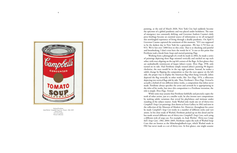

4

painting, at the end of March 2020, New York City had suddenly become the epicenter of a global pandemic and was placed under lockdown. The state of emergency was constantly shifting, and Governor Andrew Cuomo's daily press brie fngs became an essential source of information as we all navigated this newfangled experience of living through a deadly pandemic. On April 9, Governor Cuomo captured the sentiment of this moment, "9/11 was supposed to be the darkest day in New York for a generation…We lose 2,753 lives on 9/11. We've lost over 7,000 lives to this crisis. That is so shocking and painful and breathtaking, I don't even have the words for it." It was at this point that Pettibone took a break from *Soups* and started painting *Flags*.

 Working from a photograph of a work he made in 2002, he made a series of paintings depicting three fags oriented vertically and stacked on top each other, with stars aligning on the top left corners of the fags. At frst glance they are undoubtedly reminiscent of Jasper Johns's iconic *Tree Flags,* 1958, only turned on its side. Had Pettibone simply rotated Johns's painting 90 degrees clockwise, the stars would be in the top right position. Instead, he makes a subtle change by fipping the composition so that the stars appear on the left side, the proper way to display the American fag when hung vertically. Johns depicted the fag vertically in other works, like *Two Flags*, 1974, a silkscreen depicting two vertical fags side by side. Tus, Pettibone's *Tree Flags, Vertical* is actually a hybrid of two di ferent Johns works, a composition that Johns never made. Pettibone always speci fes the artist and artwork he is appropriating in the titles of his works, but since this composition is a Pettibone invention, the title is simply *Tree Flags, Vertical.* 

 While some may assume that Pettibone faithfully and precisely copies the work of other artists, just at a smaller scale, he also invents new compositions by making subtle variations that reveal his playfulness and intimate understanding of the subject matter. Andy Warhol only made one set of thirty-two *Campbell's Soup Can* paintings, frst shown at Ferus Gallery in 1962 and now in the collection of the Museum of Modern Art. However, throughout his career he made *Campbell's Soup Can* works in a number of di ferent styles and variations. In his close study of Warhol, Pettibone picked up on this detail and he has made several di ferent sets of thirty-two *Campbell's Soup Cans*, each using a di ferent style of soup can. For example, in *Andy Warhol, ' Tirty-two Campbell's Soup Cans', 1961*, 2004–2005, Pettibone copies the style of Warhol Soup Cans that are known as the Mönchengladbach-type, which Warhol made in 1961 but never made as a set of thirty-two. At frst glance, one might assume

Richard Pettibone *Andy Warhol, 'Campbell's Soup Can, Tomato', 1962*, 2019 Oil on canvas 10 ¾ x 8 ½ inches Private Collection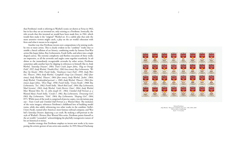that Pettibone's work is referring to Warhol's iconic set shown at Ferus in 1962, but in fact they are an invented set, only existing as a Pettibone. Ironically, the title reveals that this invented set would have been made frst, in 1961, which would then make it the "original" Warhol set. It's a subtle joke that only the more attentive viewers might catch, a play on the art world's obsession with frsts and what it means to be original.

 Another way that Pettibone invents new compositions is by joining works by two or more artists. Tis is clearly evident in his "combine" works that resemble a literal collision of art history, combining works by famous Post-War artists like Jasper Johns, Roy Lichtenstein, Frank Stella, and others into a single shaped canvas. The extreme complexity and flawless execution of these works are impressive, as all the artworks and angles come together seamlessly. In addition to the immediately recognizable artworks by other artists, Pettibone sometimes adds another layer by slipping in references to himself, like in *Andy Warhol, 'Saturday Disaster', 1964; Train Crash; Jasper Johns, 'Flag on Orange Field', 1957; Andy Warhol, 'Double Elvis', 1963 (two times)*; *Roy Lichtenstein, 'We Rose Up Slowly', 1964; Frank Stella, 'Tomlinson Court Park', 1959, Andy Warhol, 'Flowers', 1964; Andy Warhol, 'Campbell's Soup Can (Tomato)', 1962 (four times); Andy Warhol, 'Flowers', 1964 (four times); Andy Warhol, 'Jackie', 1964; Andy Warhol, 'Unidentifed portrait', c. 1965; Andy Warhol, 'Flowers', 1964 (fve times); Jasper Johns, ' Tree Flags', 1958; Frank Stella, 'Union Pacifc', 1960; Roy Lichtenstein, 'Tex', 1962; Frank Stella, 'Sketch Red Lead', 1964; Roy Lichtenstein, 'Mad Scientist', 1963; Andy Warhol, 'Little Electric Chair', 1964; Andy Warhol, 'Most Wanted Men No. 11, John Joseph H.', 1964; Untitled (Self Portrait as a Wanted Man); Frank Stella, 'Creede I', 1961, Roy Lichtenstein, 'Drowning Girl', 1963; Roy Lichtenstein, 'Vicki', 1964; Roy Lichtenstein, 'Sleeping Girl', 1964*, 1971. While most of the work is comprised of precise copies, two deviations pop out– *Train Crash* and *Untitled (Self Portrait as a Wanted Man)*. The inclusion of the train imagery references Pettibone's childhood love of building model trains, while also subtly referencing two other works in the combine: Stella's *Union Pacifc*, named after America's most famous railroad company, and Warhol's *Saturday Disaster,* depicting a car crash. By making a self-portrait in the style of Warhol's *Tirteen Most Wanted Men* series, Pettibone paints himself as the art world's "scoundrel," acknowledging the playfully transgressive nature of his art historical re-mixes. 6<br>
that Pettibone's work is referring to Warhol's iconic set shown at Ferus in 1962,<br>
but in fact they are an invented set, conhy existing as a Pettibone. In<br>rotating the meake in the "original" Warhol set, Fix a subtle j

Another strategy that Pettibone employs to invent new works is by trans-



Richard Pettibone *Andy Warhol, ' Tirty-two Campbell's Soup Cans', 1961*, 2004–2005 Oil on canvas, 32 paintings Each: 7 ½ x 6 inches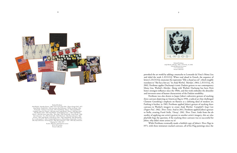provoked the art world by adding a mustache to Leonardo da Vinci's Mona Lisa and titled the work *L.H.O.O.Q.* When read aloud in French, the sequence of letters L.H.O.O.Q. enunciate the expression "Elle a chaud au cul", which roughly translates to "She has a hot ass." In *Andy Warhol, 'Marilyn', 1964, L.H.O.O.Q., #1*, 2002, Pettibone applies Duchamp's iconic Dadaist gesture to our contemporary Mona Lisa, Warhol's *Marilyn.* Along with Warhol, Duchamp has been Pettibone's strongest infuence since the 1960s, and this work embodies the absurdist and irreverent sense of humor characteristic of the Dadaist sensibility.

 Pettibone was also drawn to Jasper Johns's subversive gesture of stacking three canvases depicting an American fag in 1958, a radical act that challenged Clement Greenberg's emphasis on fatness as a defning ideal of modern art. Pushing it further, in 1965, Pettibone applied Johns's gesture of stacking three canvases to Warhol's imagery to create *Andy Warhol, 'Campbell's Soup Can (Pepper Pot)', 1962, Tree Times*. And in 2011, Pettibone applied Johns's gesture to Stella, creating *Frank Stella, 'Ouray', 1961, Tree Times*. Aside from the absurdity of applying one artist's gesture to another artist's imagery, this act also playfully begs the question, if the stacking three canvases was so successful for Johns, why didn't more artists try it?

 While Pettibone eventually made a faithful copy of Johns's *Tree Flags* in 1971, with three miniature stacked canvases, all of his Flag paintings since the

Richard Pettibone *Andy Warhol, 'Marilyn', 1964, L.H.O.O.Q., #1*, 2002 Oil and silkscreen on canvas 7 ¼ x 6 3/4 inches Private Collection



#### Richard Pettibone

*Andy Warhol, 'Saturday Disaster', 1964; Train Crash; Jasper Johns, 'Flag on Orange Field', 1957; Andy Warhol, 'Double Elvis', 1963 (two times); Roy Lichtenstein, 'We Rose Up Slowly', 1964; Frank Stella, 'Tomlinson Court Park', 1959, Andy Warhol, 'Flowers', 1964; Andy Warhol, 'Campbell's Soup Can (Tomato)', 1962 (four times); Andy Warhol, 'Flowers', 1964 (four times); Andy Warhol, 'Jackie', 1964; Andy Warhol, 'Unidentifed portrait', c. 1965; Andy Warhol, 'Flowers', 1964 (fve times); Jasper Johns, 'Tree Flags', 1958; Frank Stella, 'Union Pacifc', 1960; Roy Lichtenstein, 'Tex', 1962; Frank Stella, 'Sketch Red Lead', 1964; Roy Lichtenstein, 'Mad Scientist', 1963; Andy Warhol, 'Little Electric Chair', 1964; Andy Warhol, 'Most Wanted Men No. 11, John Joseph H.', 1964; Untitled (Self Portrait as a Wanted Man); Frank Stella, 'Creede I', 1961, Roy Lichtenstein, 'Drowning Girl', 1963; Roy Lichtenstein, 'Vicki', 1964; Roy Lichtenstein, 'Sleeping Girl', 1964*, 1971

Acrylic, silkscreen, and enamel on canvas 38 ¾ x 50 ¾ inches Private Collection

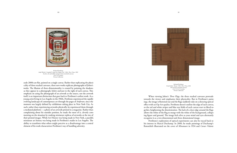early 2000s are fat, painted on a single canvas. Rather than replicating the physicality of three stacked canvases, these new works replicate photographs of Johns's works. The illusion of three-dimensionality is created by painting the shadows as they appear in a photograph, below and just to the right of each canvas. This emphasis on using the photograph of an artwork as the source, not the artwork itself, is an important distinction that goes back to Pettibone's earliest work. As a young artist living in Los Angeles in the 1960s, Pettibone experienced the rapidly evolving landscape of contemporary art through the pages of *Artforum*, since the moment was largely defned by exhibitions taking place in New York City. As such, rather than experiencing artworks physically, he experienced them through a mediated platform—a photo of an artwork printed in a magazine. Rather than complaining about his outsider position, he made the most of it, cleverly commenting on the situation by making miniature replicas of artworks at the size of their printed images. While Art History was being made in New York, a parallel, miniature art history was being made in Pettibone's studio in Los Angeles. The ability to transform what others might perceive as a disadvantage into a central element of his work characterizes Pettibone's way of handling adversity.



 When viewing Johns's *Tree Flags,* the three stacked canvases protrude towards the viewer and emphasize their physicality. But in Pettibone's paintings, the image is fattened out and the fags suddenly take on a dizzying optical efect with an Op-Art quality. Pettibone doesn't outline the edge of each canvas, so the red and white stripes and blue star felds of each canvas start to bleed together, heightening the disorientation. The lack of a clear edge around the flags allows the white of the fag to merge with the white of the background, collapsing figure and ground. The image feels alive as your mind and eyes alternately recognize it as a two dimensional and three dimensional image.

 Pettibone's exploration of optical experiments can also be traced back to his interest in Marcel Duchamp. In 2000, he made paintings of Duchamp's Rotoreliefs illustrated on the cover of *Minotaure* in 1934 and *Coeurs Volants* 

Richard Pettibone *Frank Stella, 'Ouray', 1961, Tree Times*, 2011 Oil on three attached canvases 21 ⅛ x 21 ⅛ x 2 inches Private Collection



Richard Pettibone *Andy Warhol, 'Campbell's Soup Can (Pepper Pot)', 1962, Tree Times*, 1965 Acrylic, oil, and rubber stamp on three attached canvases 10 ⅜ x 6 ⅜ inches Private Collection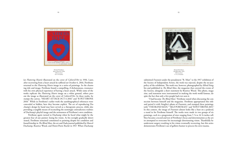(or *Fluttering Hearts*) illustrated on the cover of *CahiersD'Art* in 1936. Later, after recovering from a heart attack he sufered on October 6, 2016, Pettibone returned to the *Fluttering Hearts* image in a series of paintings*.* In the charming title and image, Pettibone found a compelling, if dichotomous, resonance with his own physical experience of having a heart attack. While some of the works replicate the *Fluttering Hearts* image on a white ground, others present the image as illustrated on the cover of *CahiersD'Art*. In these works, he stamps the canvas, "HEART ATTACK OCT 6 2016" and "R PETTIBONE 2018." While in Pettibone's earlier work the autobiographical references were concealed or hidden, here they become explicit. The act of reproducing Duchamp's design by hand may have served as a therapeutic process, while also providing a tangible means of reconciling the seemingly contradictory realities of Duchamp's playful image and the seriousness of Pettibone's own condition.

 Pettibone again turned to Duchamp when he faced what might be the greatest fear of any painter: losing his vision. As his eyesight gradually deteriorated, Pettibone remained committed to painting despite his condition and found kinship in *Te Blind Man,* the art and Dada journal published by Marcel Duchamp, Beatrice Wood, and Henri-Pierre Roché in 1917. When Duchamp





Richard Pettibone *Heart Attack #5*, 2018 Oil on canvas  $10$   $\rm \frac{1}{2}$  x  $\rm 8$  inches

> submitted *Fountain* under the pseudonym "R. Mutt" to the 1917 exhibition of the Society of Independent Artists, the work was rejected, despite the no-jury policy of the exhibition. The work was, however, photographed by Alfred Stieglitz and published in *Te Blind Man*, the magazine that covered the events of the Society, alongside a short statement by Beatrice Wood. This photo, magazine, and statement were instrumental in making the work world famous, despite the fact that only a few people had ever seen it.

> "I had become *Te Blind Man*," Pettibone stated when discussing the connection between himself and the magazine. Pettibone appropriated this title and paired it with Stieglitz's photo of *Fountain*, and stamped these paintings with "THE BLIND MAN," "SELF PORTRAIT," and "R PETTIBONE 2015." In this context, the image of *Fountain* almost looks like a bust on a pedestal, a stand in for Pettibone himself. The works were made in two groups of six paintings, each in a progression of sizes ranging from 5 ⅞ to 16 ⅜ inches tall. They became a record and test of Pettibone's focus and determination as the artist attempted to overcome his increasingly deteriorating vision. Thankfully he underwent surgery resulting in his vision eventually recovering, but this series demonstrates Pettibone's use of gallows humor to process his own trauma.

12 13

Richard Pettibone *Te Blind Man*, 2015 Oil on canvas 11 5⁄8 x 10 inches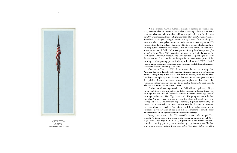While Pettibone may use humor as a means to respond to personal traumas, he often takes a more sincere tone when addressing collective grief. Pettibone was scheduled to have a solo exhibition at a gallery in New York in October 2001 when tragedy struck on September 11th. New York City, and America as we knew it, changed overnight. Pettibone was just weeks from installing his show when he felt compelled to respond to the attacks in some way. After 9/11, the American fag immediately became a ubiquitous symbol of solace and unity, hung outside homes and businesses, sewn on sports jerseys, even stretched across entire football felds. In his own gesture of unity, Pettibone painted *Jas per Johns, Tree Flags, 1958,* rendering the image on a single fat canvas for the first time, with faux shadows. The artist donated the painting to a benefit for the victims of 9/11, but before doing so he produced inkjet prints of the painting on white photo paper, which he signed and stamped, "SEP 11 2001." Feeling a need to connect with loved ones, Pettibone mailed these inkjet prints to as many friends and family as he could.

 One day, on March 11, 2002, the artist wanted to make a painting of an American fag on a fagpole, so he grabbed his camera and drove to Oneonta, where the largest fag in the area is. But when he arrived, there was no wind. The flag was completely limp. The coincidence felt appropriate given the post-9/11 political climate at the time, so he snapped the photo and drove home. The resulting painting was given as a gift to his dealer, Barbara Bertozzi Castelli, who had just become an American citizen.

 Pettibone continued to process life after 9/11 with more paintings of fags. In an exhibition at Castelli Gallery in 2003, Pettibone exhibited three Flag paintings made in 2002, all fat single canvases. Two were *Tree Flags, Vertical* paintings, and one was *Four Flags, Vertical, #2*. This group represents the first time that Pettibone made paintings of fags oriented vertically, with the stars in the top left corner. The American flag is normally displayed horizontally, but the vertical orientation has a somber connotation and is often used in memorial contexts. Johns never made a Flag painting with four stacked canvases, and Pettibone's clever invention offered a much needed moment of comedic relief with viewers questioning their own art historical knowledge.

 Nearly twenty years after 9/11, coincidence and collective grief has brought Pettibone back to the image of the fag. After painting several *Tree Flags, Vertical* paintings in 2020–2021, inspired by his own works, Pettibone moved to other flag paintings that more directly copy Johns's works. The first is a group of three paintings titled, *Jasper Johns, 'Two Flags', Silkscreen, 1974*,



Richard Pettibone *Big Flag Oneonta*, 2002 Oil on canvas 14 ¼ x 5 ½ inches Collection of Barbara Bertozzi Castelli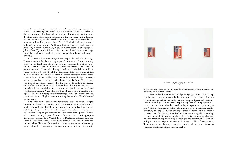which depict the image of Johns's silkscreen of two vertical fags side by side. While a silkscreen on paper doesn't have the dimensionality to cast a shadow, like a canvas does, Pettibone still adds a faux shadow that conforms with the other works. These three paintings are of the same size, but the flags are painted progressively smaller in each composition. These works were followed by two paintings titled, *Jasper Johns, 'Flag', 1954,* which depict a photograph of Johns's frst *Flag* painting. And fnally, Pettibone makes a single painting titled, *Jasper Johns, ' Tree Flags', 1958*, *#1,* which depicts a photograph of Johns's *Three Flags* made of three stacked canvases. These Pettibone paintings are all fat, single canvas works depicting photographs of Johns works, copied faithfully.

 In presenting these more straightforward copies alongside the *Tree Flags, Vertical* inventions, Pettibone sets up a game for the viewer. One of the many joys of viewing Pettibone works is comparing his versions to the originals, to try and fnd the similarities and di ferences. Te scale is always the most obvious, but the subtleties of material and imagery make the works feel almost like a puzzle wanting to be solved. While noticing small di ferences is entertaining, these art historical riddles perhaps mask the deeper underlying aspects of the works. Like any joke or riddle, there is more than meets the eye. For example, upon close inspection, one might discover that the *Tree Flags, Vertical*  paintings all vary slightly in scale, while the other works conform to a precise and uniform size as Pettibone's work often does. This is a notable deviation and, given the memorializing context, might lead to an interpretation of how each life lost is unique. When asked why they all vary slightly in size, the artist replied, "oh I was just trying out di ferent things." While this may be the case, Pettibone's history of highly intentional scaling betrays the o fhandedness of his comment.

 Pettibone's work is often known for its cute scale or humorous interpre tations of art history, but if one ignored the works' more sincere elements it would paint an incomplete picture of the artist. Many of Pettibone's photo realistic paintings depict friends and family, and intimate moments from his life. Pettibone's copying of other artists always came from a place of love as well, a detail that may separate Pettibone from more impersonal appropria tion artists. Pettibone loves Warhol, he loves Duchamp, he loves Shaker fur niture, he loves Ezra Pound, he loves Jasper Johns, he loves the American fag, and on and on. Te scale of the work and materials he uses are in fuenced by his love of model trains. And the craftsmanship of his work requires consid -



erable care and sensitivity, as he builds the stretchers and frames himself, even

with tiny nails and tiny staples.

 Given the fact that Pettibone started painting fags during a national tragedy, in an election year, at arguably the most polarized time in American history, it is only natural for a viewer to wonder, what does it mean to be painting the American fag in this moment? Te polarizing force of Trump's presidency created the implication that the American fag belonged to one group of people. Pettibone even experienced this judgment himself, as his neighbor recently asked why he hung the "Republican fag" outside his home. Pettibone sharply corrected him, "it's the *American* fag." Without considering the relationship between love and critique, one might confuse Pettibone's seeming obsession with the American fag with having a certain political position, or a lack of criticality about America's past and present. But as James Baldwin famously states, "I love America more than any country in the world and, exactly for this reason, I insist on the right to criticize her perpetually."

Installation view of *Richard Pettibone* at Castelli Gallery, April 11 – May 31, 2003.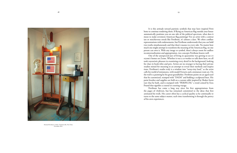

Richard Pettibone's studio, Charlotteville, New York, December 2021.

 It is this attitude toward patriotic symbols that may have inspired Pettibone to continue rendering them. If flying an American flag outside your house automatically positions you on one side of the political spectrum, what does it mean to make seventeen American fag paintings? For an artist with a contrarian or mischievous streak like Pettibone, it's almost a dare. We often confate representations with endorsements, but Pettibone understands that you can hold two truths simultaneously and that there's nuance to every side. No matter how much one might attempt to transform the meaning of the American flag, no one person can own it. With any image or symbol, there's always room for endless recontextualization and appropriation, two concepts Pettibone knows well.

 One of the unexpected joys of living in quarantine was getting to see everyone's homes on Zoom. Whether it was a co-worker or talk show host, we all took voyeuristic pleasure in examining every detail in the background, looking for clues in book titles and pets. Artists are no stranger to having their private studios mined for meaning in an attempt to reveal their methods and inspirations. Pettibone's studio truly is a window into "teeny-tiny land," as the artist calls his world of miniatures, with model Ferraris and a miniature train set. On the wall is a painting by his great-grandfather. Pettibone paints on an aged easel that he customized, stamped with "DADA" and holding a sculptural bust. His paint brushes and supplies are held on a custom table inspired by Shaker furniture that he built, and is stamped with "PERIPLUM," a word coined by Ezra Pound that signifes a coastal or coasting voyage.

 Pettibone has come a long way since his frst appropriations from the pages of *Artforum*, but has remained committed to the ideas that frst animated his work. His career often has a cyclical quality as he continually returns to the same subject matter, each time transforming it through the poetry of his own experiences.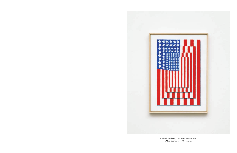

Richard Pettibone, *Four Flags, Vertical*, 2020 Oil on canvas,  $11 \frac{1}{2} \times 8 \frac{1}{2}$  inches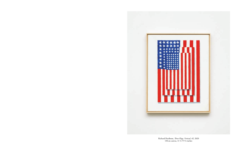

Richard Pettibone, *Tree Flags, Vertical, #2,* 2020 Oil on canvas,  $11 \frac{1}{2} \times 9 \frac{1}{4}$  inches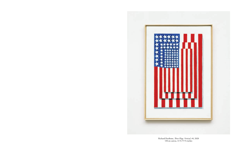

Richard Pettibone, *Tree Flags, Vertical, #4*, 2020 Oil on canvas, 13 ¾ x 9 ¾ inches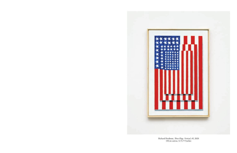

Richard Pettibone, *Tree Flags, Vertical, #5*, 2020 Oil on canvas, 12 ¾ x 9 inches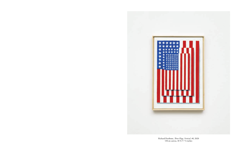

Richard Pettibone, *Tree Flags, Vertical, #6*, 2020 Oil on canvas, 10 ¾ x 7 ½ inches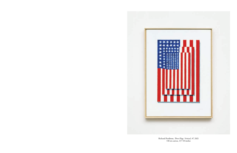

Richard Pettibone, *Tree Flags, Vertical, #7*, 2021 Oil on canvas, 13 x 10 inches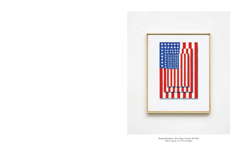

Richard Pettibone, *Tree Flags, Vertical, #8*, 2021 Oil on canvas,  $11 \frac{1}{2} \times 9 \frac{1}{4}$  inches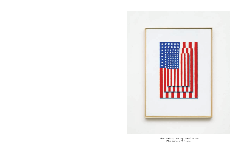

Richard Pettibone, *Tree Flags, Vertical, #9*, 2021 Oil on canvas, 13 x 9 ¾ inches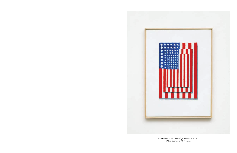

Richard Pettibone, *Tree Flags, Vertical, #10*, 2021 Oil on canvas, 13 x 9 ¾ inches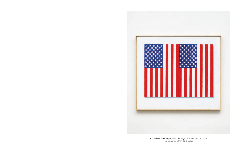

Richard Pettibone, *Jasper Johns, 'Two Flags', Silkscreen, 1974, #1*, 2021 Oil on canvas, 10 ¾ x 12 ½ inches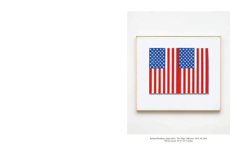

Richard Pettibone, *Jasper Johns, 'Two Flags', Silkscreen, 1974, #2*, 2021 Oil on canvas, 10 ¾ x 12 ½ inches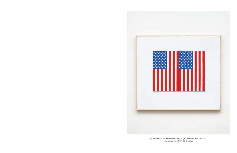

Richard Pettibone, *Jasper Johns, 'Two Flags', Silkscreen, 1974, #3*, 2021 Oil on canvas, 10 ¾ x 12 ½ inches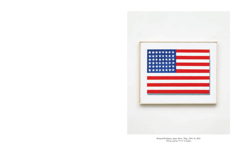

Richard Pettibone, *Jasper Johns, 'Flag', 1954, #1*, 2021 Oil on canvas, 9 x 11 ¼ inches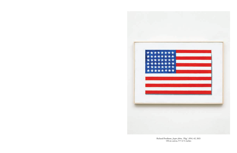

Richard Pettibone, *Jasper Johns, 'Flag', 1954, #2*, 2021 Oil on canvas, 9 x 12 ¼ inches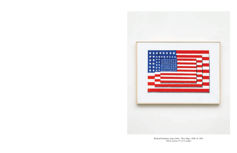

Richard Pettibone, *Jasper Johns, 'Tree Flags', 1958, #1*, 2021 Oil on canvas, 9 x 12 ¼ inches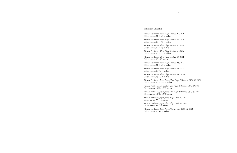### Exhibition Checklist

Richard Pettibone, *Tree Flags, Vertical, #2,* 2020 Oil on canvas,  $11\frac{1}{2} \times 9\frac{1}{4}$  inches

Richard Pettibone, *Tree Flags, Vertical, #6*, 2020 Oil on canvas,  $10\frac{3}{4} \times 7\frac{1}{2}$  inches

Richard Pettibone, *Tree Flags, Vertical, #4*, 2020 Oil on canvas, 13 ¾ x 9 ¾ inches

Richard Pettibone, *Tree Flags, Vertical, #5*, 2020 Oil on canvas, 12 ¾ x 9 inches

Richard Pettibone, *Jasper Johns, 'Two Flags', Silkscreen, 1974, #1*, 2021 Oil on canvas,  $10\frac{3}{4} \times 12\frac{1}{2}$  inches

Richard Pettibone, *Tree Flags, Vertical, #7*, 2021 Oil on canvas, 13 x 10 inches

Richard Pettibone, *Jasper Johns, 'Two Flags', Silkscreen, 1974, #2*, 2021 Oil on canvas,  $10\frac{3}{4} \times 12\frac{1}{2}$  inches

Richard Pettibone, *Jasper Johns, 'Two Flags', Silkscreen, 1974, #3*, 2021 Oil on canvas,  $10\frac{3}{4} \times 12\frac{1}{2}$  inches

Richard Pettibone, *Tree Flags, Vertical, #8*, 2021 Oil on canvas, 11 ½ x 9 ¼ inches

Richard Pettibone, *Jasper Johns, 'Flag', 1954, #1*, 2021 Oil on canvas,  $9 \times 11 \frac{1}{4}$  inches

Richard Pettibone, *Jasper Johns, 'Flag', 1954, #2*, 2021 Oil on canvas,  $9 \times 12 \frac{1}{4}$  inches

Richard Pettibone, *Tree Flags, Vertical, #9*, 2021 Oil on canvas, 13 x 9 ¾ inches

Richard Pettibone, *Jasper Johns, 'Tree Flags', 1958, #1*, 2021 Oil on canvas,  $9 \times 12 \frac{1}{4}$  inches

- 
- 
- 
- 
- 
- 
- 
- 
- 
- 
- 
- 
- 
- 

Richard Pettibone, *Tree Flags, Vertical, #10*, 2021 Oil on canvas, 13 x 9 ¾ inches